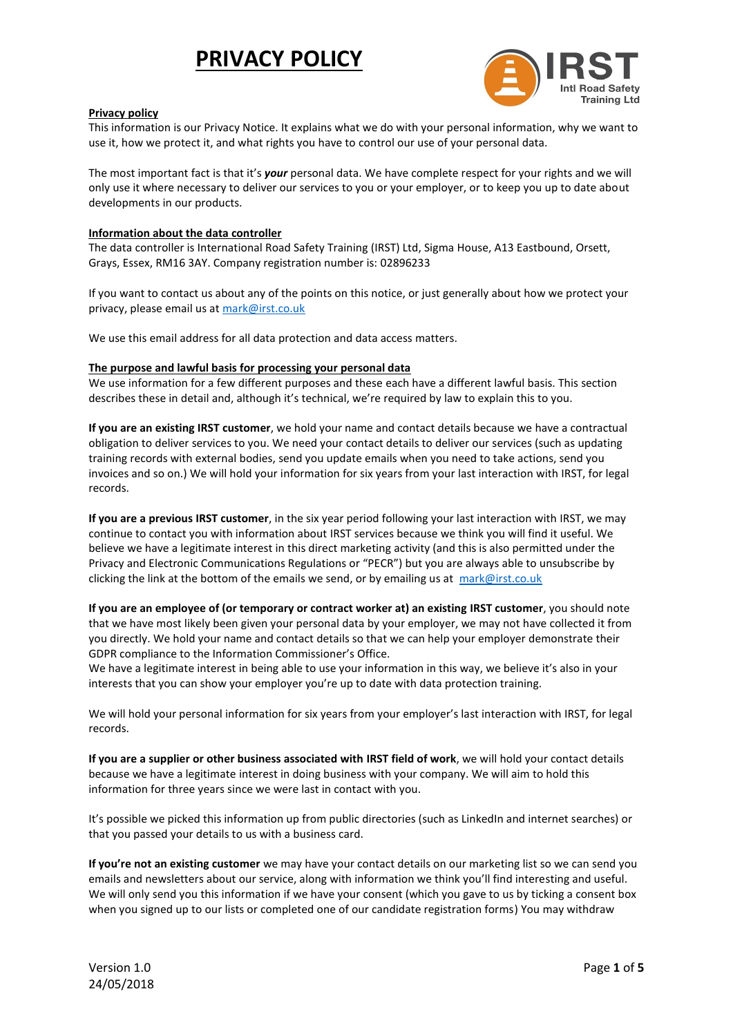

### **Privacy policy**

This information is our Privacy Notice. It explains what we do with your personal information, why we want to use it, how we protect it, and what rights you have to control our use of your personal data.

The most important fact is that it's *your* personal data. We have complete respect for your rights and we will only use it where necessary to deliver our services to you or your employer, or to keep you up to date about developments in our products.

## **Information about the data controller**

The data controller is International Road Safety Training (IRST) Ltd, Sigma House, A13 Eastbound, Orsett, Grays, Essex, RM16 3AY. Company registration number is: 02896233

If you want to contact us about any of the points on this notice, or just generally about how we protect your privacy, please email us a[t mark@irst.co.uk](mailto:mark@irst.co.uk) 

We use this email address for all data protection and data access matters.

#### **The purpose and lawful basis for processing your personal data**

We use information for a few different purposes and these each have a different lawful basis. This section describes these in detail and, although it's technical, we're required by law to explain this to you.

**If you are an existing IRST customer**, we hold your name and contact details because we have a contractual obligation to deliver services to you. We need your contact details to deliver our services (such as updating training records with external bodies, send you update emails when you need to take actions, send you invoices and so on.) We will hold your information for six years from your last interaction with IRST, for legal records.

**If you are a previous IRST customer**, in the six year period following your last interaction with IRST, we may continue to contact you with information about IRST services because we think you will find it useful. We believe we have a legitimate interest in this direct marketing activity (and this is also permitted under the Privacy and Electronic Communications Regulations or "PECR") but you are always able to unsubscribe by clicking the link at the bottom of the emails we send, or by emailing us at mark@irst.co.uk

**If you are an employee of (or temporary or contract worker at) an existing IRST customer**, you should note that we have most likely been given your personal data by your employer, we may not have collected it from you directly. We hold your name and contact details so that we can help your employer demonstrate their GDPR compliance to the Information Commissioner's Office.

We have a legitimate interest in being able to use your information in this way, we believe it's also in your interests that you can show your employer you're up to date with data protection training.

We will hold your personal information for six years from your employer's last interaction with IRST, for legal records.

**If you are a supplier or other business associated with IRST field of work**, we will hold your contact details because we have a legitimate interest in doing business with your company. We will aim to hold this information for three years since we were last in contact with you.

It's possible we picked this information up from public directories (such as LinkedIn and internet searches) or that you passed your details to us with a business card.

**If you're not an existing customer** we may have your contact details on our marketing list so we can send you emails and newsletters about our service, along with information we think you'll find interesting and useful. We will only send you this information if we have your consent (which you gave to us by ticking a consent box when you signed up to our lists or completed one of our candidate registration forms) You may withdraw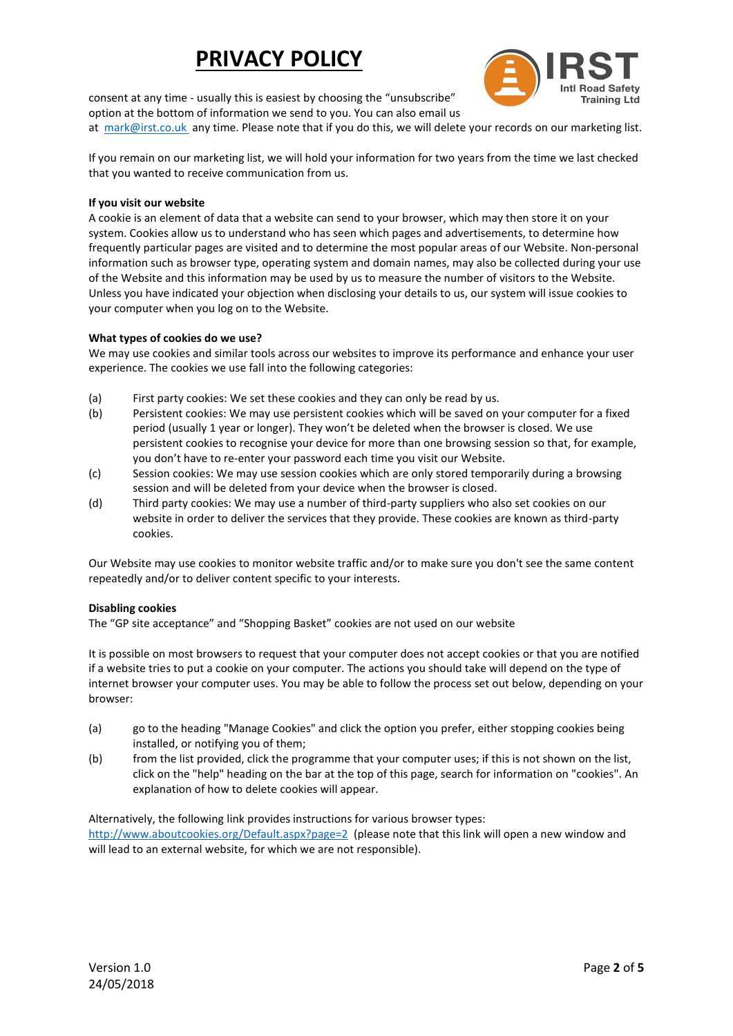

consent at any time - usually this is easiest by choosing the "unsubscribe" option at the bottom of information we send to you. You can also email us



at [mark@irst.co.uk](mailto:mark@irst.co.uk) any time. Please note that if you do this, we will delete your records on our marketing list.

If you remain on our marketing list, we will hold your information for two years from the time we last checked that you wanted to receive communication from us.

# **If you visit our website**

A cookie is an element of data that a website can send to your browser, which may then store it on your system. Cookies allow us to understand who has seen which pages and advertisements, to determine how frequently particular pages are visited and to determine the most popular areas of our Website. Non-personal information such as browser type, operating system and domain names, may also be collected during your use of the Website and this information may be used by us to measure the number of visitors to the Website. Unless you have indicated your objection when disclosing your details to us, our system will issue cookies to your computer when you log on to the Website.

## **What types of cookies do we use?**

We may use cookies and similar tools across our websites to improve its performance and enhance your user experience. The cookies we use fall into the following categories:

- (a) First party cookies: We set these cookies and they can only be read by us.
- (b) Persistent cookies: We may use persistent cookies which will be saved on your computer for a fixed period (usually 1 year or longer). They won't be deleted when the browser is closed. We use persistent cookies to recognise your device for more than one browsing session so that, for example, you don't have to re-enter your password each time you visit our Website.
- (c) Session cookies: We may use session cookies which are only stored temporarily during a browsing session and will be deleted from your device when the browser is closed.
- (d) Third party cookies: We may use a number of third-party suppliers who also set cookies on our website in order to deliver the services that they provide. These cookies are known as third-party cookies.

Our Website may use cookies to monitor website traffic and/or to make sure you don't see the same content repeatedly and/or to deliver content specific to your interests.

# **Disabling cookies**

The "GP site acceptance" and "Shopping Basket" cookies are not used on our website

It is possible on most browsers to request that your computer does not accept cookies or that you are notified if a website tries to put a cookie on your computer. The actions you should take will depend on the type of internet browser your computer uses. You may be able to follow the process set out below, depending on your browser:

- (a) go to the heading "Manage Cookies" and click the option you prefer, either stopping cookies being installed, or notifying you of them;
- (b) from the list provided, click the programme that your computer uses; if this is not shown on the list, click on the "help" heading on the bar at the top of this page, search for information on "cookies". An explanation of how to delete cookies will appear.

Alternatively, the following link provides instructions for various browser types: <http://www.aboutcookies.org/Default.aspx?page=2>(please note that this link will open a new window and will lead to an external website, for which we are not responsible).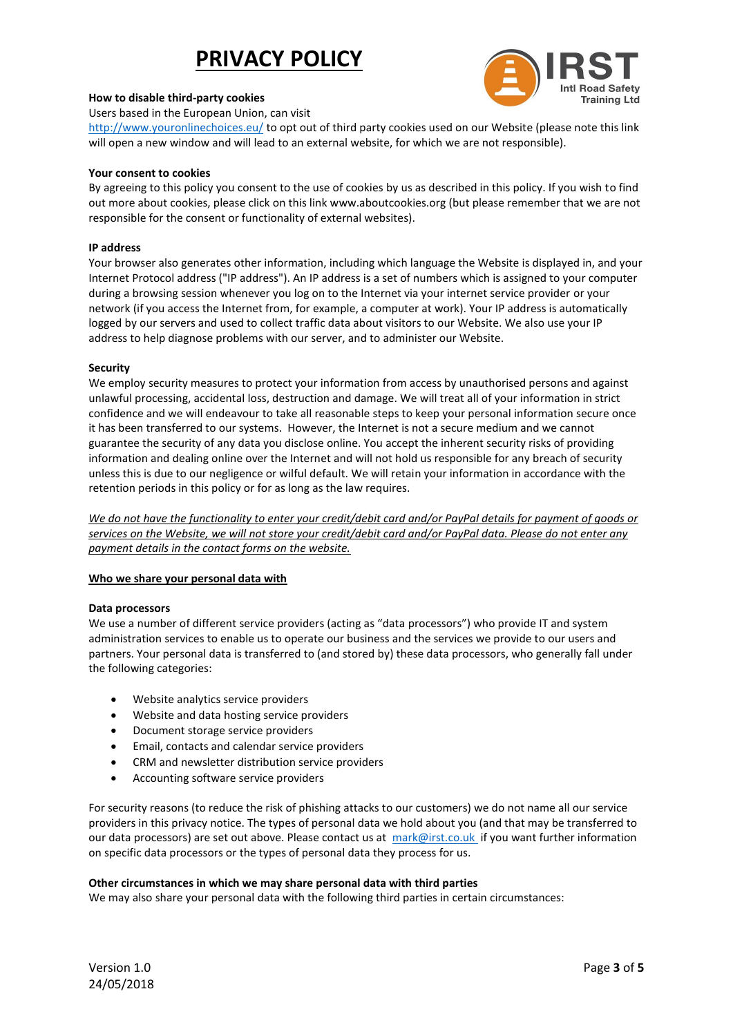#### **How to disable third-party cookies**

Users based in the European Union, can visit

<http://www.youronlinechoices.eu/> to opt out of third party cookies used on our Website (please note this link will open a new window and will lead to an external website, for which we are not responsible).

#### **Your consent to cookies**

By agreeing to this policy you consent to the use of cookies by us as described in this policy. If you wish to find out more about cookies, please click on this link www.aboutcookies.org (but please remember that we are not responsible for the consent or functionality of external websites).

### **IP address**

Your browser also generates other information, including which language the Website is displayed in, and your Internet Protocol address ("IP address"). An IP address is a set of numbers which is assigned to your computer during a browsing session whenever you log on to the Internet via your internet service provider or your network (if you access the Internet from, for example, a computer at work). Your IP address is automatically logged by our servers and used to collect traffic data about visitors to our Website. We also use your IP address to help diagnose problems with our server, and to administer our Website.

#### **Security**

We employ security measures to protect your information from access by unauthorised persons and against unlawful processing, accidental loss, destruction and damage. We will treat all of your information in strict confidence and we will endeavour to take all reasonable steps to keep your personal information secure once it has been transferred to our systems. However, the Internet is not a secure medium and we cannot guarantee the security of any data you disclose online. You accept the inherent security risks of providing information and dealing online over the Internet and will not hold us responsible for any breach of security unless this is due to our negligence or wilful default. We will retain your information in accordance with the retention periods in this policy or for as long as the law requires.

*We do not have the functionality to enter your credit/debit card and/or PayPal details for payment of goods or services on the Website, we will not store your credit/debit card and/or PayPal data. Please do not enter any payment details in the contact forms on the website.*

#### **Who we share your personal data with**

#### **Data processors**

We use a number of different service providers (acting as "data processors") who provide IT and system administration services to enable us to operate our business and the services we provide to our users and partners. Your personal data is transferred to (and stored by) these data processors, who generally fall under the following categories:

- Website analytics service providers
- Website and data hosting service providers
- Document storage service providers
- Email, contacts and calendar service providers
- CRM and newsletter distribution service providers
- Accounting software service providers

For security reasons (to reduce the risk of phishing attacks to our customers) we do not name all our service providers in this privacy notice. The types of personal data we hold about you (and that may be transferred to our data processors) are set out above. Please contact us at [mark@irst.co.uk](mailto:mark@irst.co.uk) if you want further information on specific data processors or the types of personal data they process for us.

## **Other circumstances in which we may share personal data with third parties**

We may also share your personal data with the following third parties in certain circumstances:

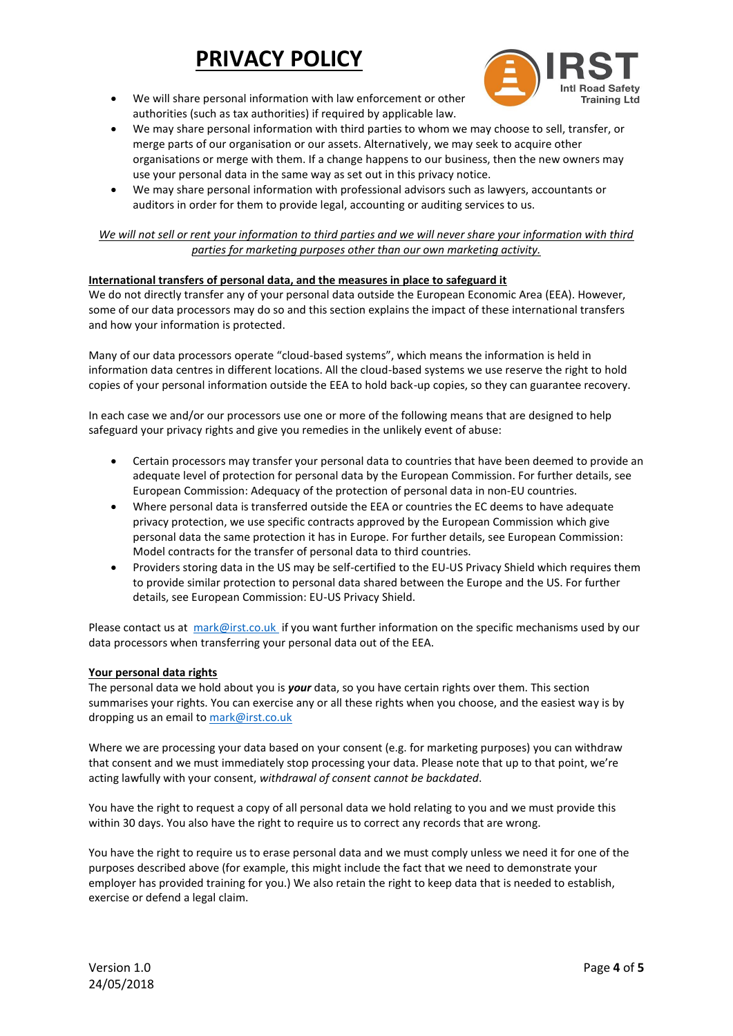

- We will share personal information with law enforcement or other authorities (such as tax authorities) if required by applicable law.
- We may share personal information with third parties to whom we may choose to sell, transfer, or merge parts of our organisation or our assets. Alternatively, we may seek to acquire other organisations or merge with them. If a change happens to our business, then the new owners may use your personal data in the same way as set out in this privacy notice.
- We may share personal information with professional advisors such as lawyers, accountants or auditors in order for them to provide legal, accounting or auditing services to us.

## *We will not sell or rent your information to third parties and we will never share your information with third parties for marketing purposes other than our own marketing activity.*

## **International transfers of personal data, and the measures in place to safeguard it**

We do not directly transfer any of your personal data outside the European Economic Area (EEA). However, some of our data processors may do so and this section explains the impact of these international transfers and how your information is protected.

Many of our data processors operate "cloud-based systems", which means the information is held in information data centres in different locations. All the cloud-based systems we use reserve the right to hold copies of your personal information outside the EEA to hold back-up copies, so they can guarantee recovery.

In each case we and/or our processors use one or more of the following means that are designed to help safeguard your privacy rights and give you remedies in the unlikely event of abuse:

- Certain processors may transfer your personal data to countries that have been deemed to provide an adequate level of protection for personal data by the European Commission. For further details, see European Commission: Adequacy of the protection of personal data in non-EU countries.
- Where personal data is transferred outside the EEA or countries the EC deems to have adequate privacy protection, we use specific contracts approved by the European Commission which give personal data the same protection it has in Europe. For further details, see European Commission: Model contracts for the transfer of personal data to third countries.
- Providers storing data in the US may be self-certified to the EU-US Privacy Shield which requires them to provide similar protection to personal data shared between the Europe and the US. For further details, see European Commission: EU-US Privacy Shield.

Please contact us at [mark@irst.co.uk i](mailto:mark@irst.co.uk)f you want further information on the specific mechanisms used by our data processors when transferring your personal data out of the EEA.

## **Your personal data rights**

The personal data we hold about you is *your* data, so you have certain rights over them. This section summarises your rights. You can exercise any or all these rights when you choose, and the easiest way is by dropping us an email to mark@irst.co.uk

Where we are processing your data based on your consent (e.g. for marketing purposes) you can withdraw that consent and we must immediately stop processing your data. Please note that up to that point, we're acting lawfully with your consent, *withdrawal of consent cannot be backdated*.

You have the right to request a copy of all personal data we hold relating to you and we must provide this within 30 days. You also have the right to require us to correct any records that are wrong.

You have the right to require us to erase personal data and we must comply unless we need it for one of the purposes described above (for example, this might include the fact that we need to demonstrate your employer has provided training for you.) We also retain the right to keep data that is needed to establish, exercise or defend a legal claim.